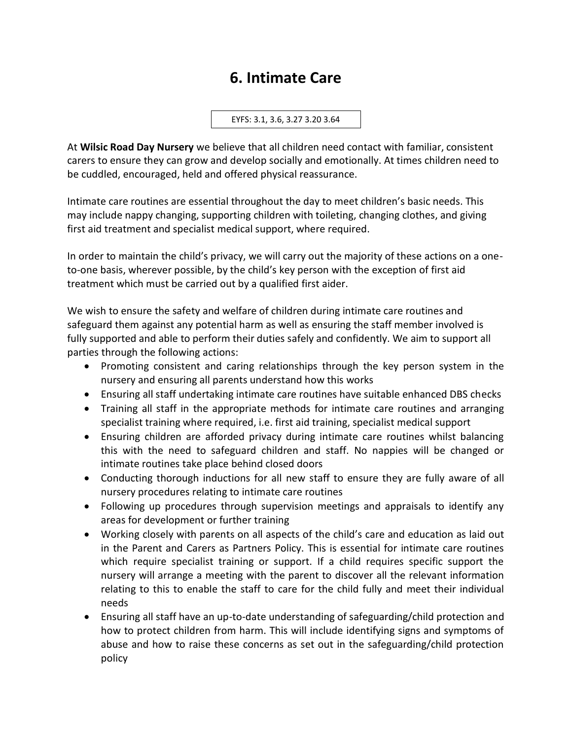## **6. Intimate Care**

EYFS: 3.1, 3.6, 3.27 3.20 3.64

At **Wilsic Road Day Nursery** we believe that all children need contact with familiar, consistent carers to ensure they can grow and develop socially and emotionally. At times children need to be cuddled, encouraged, held and offered physical reassurance.

Intimate care routines are essential throughout the day to meet children's basic needs. This may include nappy changing, supporting children with toileting, changing clothes, and giving first aid treatment and specialist medical support, where required.

In order to maintain the child's privacy, we will carry out the majority of these actions on a oneto-one basis, wherever possible, by the child's key person with the exception of first aid treatment which must be carried out by a qualified first aider.

We wish to ensure the safety and welfare of children during intimate care routines and safeguard them against any potential harm as well as ensuring the staff member involved is fully supported and able to perform their duties safely and confidently. We aim to support all parties through the following actions:

- Promoting consistent and caring relationships through the key person system in the nursery and ensuring all parents understand how this works
- Ensuring all staff undertaking intimate care routines have suitable enhanced DBS checks
- Training all staff in the appropriate methods for intimate care routines and arranging specialist training where required, i.e. first aid training, specialist medical support
- Ensuring children are afforded privacy during intimate care routines whilst balancing this with the need to safeguard children and staff. No nappies will be changed or intimate routines take place behind closed doors
- Conducting thorough inductions for all new staff to ensure they are fully aware of all nursery procedures relating to intimate care routines
- Following up procedures through supervision meetings and appraisals to identify any areas for development or further training
- Working closely with parents on all aspects of the child's care and education as laid out in the Parent and Carers as Partners Policy. This is essential for intimate care routines which require specialist training or support. If a child requires specific support the nursery will arrange a meeting with the parent to discover all the relevant information relating to this to enable the staff to care for the child fully and meet their individual needs
- Ensuring all staff have an up-to-date understanding of safeguarding/child protection and how to protect children from harm. This will include identifying signs and symptoms of abuse and how to raise these concerns as set out in the safeguarding/child protection policy